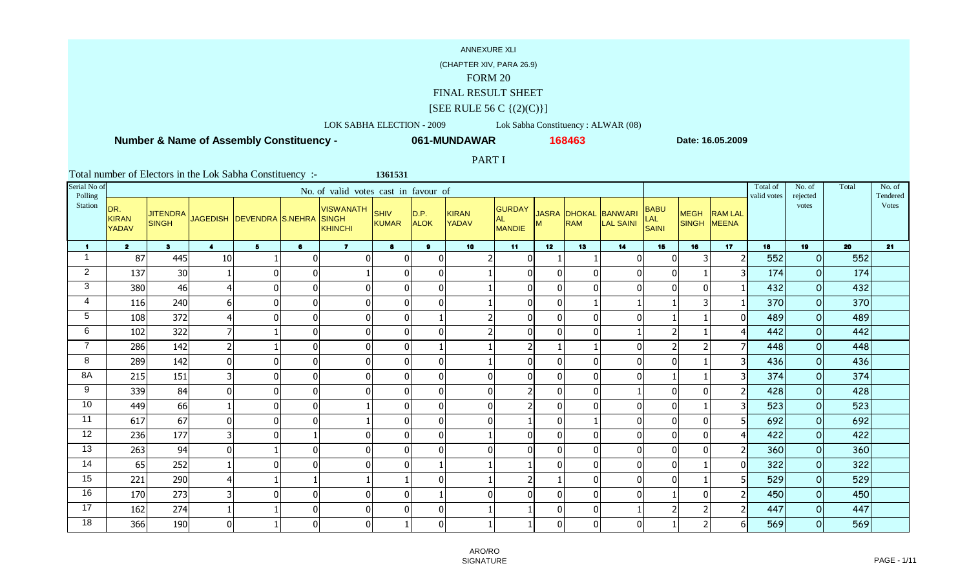### (CHAPTER XIV, PARA 26.9)

### FORM 20

## FINAL RESULT SHEET

### $[SEE$  RULE 56 C  $\{(2)(C)\}]$

### LOK SABHA ELECTION - 2009 Lok Sabha Constituency : ALWAR (08)

**1361531**

 **Number & Name of Assembly Constituency -**

**061-MUNDAWAR**

**<sup>168463</sup> Date: 16.05.2009**

## PART I

| Serial No of<br>Polling |                                     |                |                         |                                          |                | No. of valid votes cast in favour of |                             |                     |                              |                                             |              |            |                                   |                                    |                            |                | Total of<br>valid votes | No. of<br>rejected | Total | No. of<br>Tendered |
|-------------------------|-------------------------------------|----------------|-------------------------|------------------------------------------|----------------|--------------------------------------|-----------------------------|---------------------|------------------------------|---------------------------------------------|--------------|------------|-----------------------------------|------------------------------------|----------------------------|----------------|-------------------------|--------------------|-------|--------------------|
| Station                 | DR.<br><b>KIRAN</b><br><b>YADAV</b> | <b>SINGH</b>   |                         | JITENDRA JAGEDISH DEVENDRA S.NEHRA SINGH |                | <b>VISWANATH</b><br>KHINCHI          | <b>SHIV</b><br><b>KUMAR</b> | D.P.<br><b>ALOK</b> | <b>KIRAN</b><br><b>YADAV</b> | <b>GURDAY</b><br><b>AL</b><br><b>MANDIE</b> | М            | <b>RAM</b> | JASRA DHOKAL BANWARI<br>LAL SAINI | <b>BABU</b><br><b>LAL</b><br>SAINI | <b>MEGH</b><br>SINGH MEENA | <b>RAM LAL</b> |                         | votes              |       | Votes              |
| $\blacktriangleleft$    | $\overline{2}$                      | 3 <sup>1</sup> | $\blacktriangleleft$    | 5 <sup>5</sup>                           | 6              | $\overline{7}$                       | 8                           | 9                   | 10 <sub>1</sub>              | 11                                          | 12           | 13         | 14                                | 15                                 | 16                         | 17             | 18                      | 19                 | 20    | 21                 |
|                         | 87                                  | 445            | 10                      |                                          | $\pmb{0}$      | $\Omega$                             | $\mathbf{0}$                | 0                   | 2                            | $\overline{0}$                              |              |            | $\Omega$                          | $\overline{0}$                     | 3                          |                | 552                     | $\circ$            | 552   |                    |
| $\overline{2}$          | 137                                 | 30             |                         | $\Omega$                                 | $\overline{0}$ |                                      | $\pmb{0}$                   | $\overline{0}$      |                              | $\mathbf 0$                                 | $\Omega$     |            | $\Omega$                          | $\overline{0}$                     |                            |                | 174                     | $\circ$            | 174   |                    |
| 3                       | 380                                 | 46             | 4                       | $\mathbf{0}$                             | $\overline{0}$ |                                      | $\pmb{0}$                   | 0                   |                              | $\mathbf 0$                                 | $\mathbf{0}$ |            | $\Omega$                          | $\overline{0}$                     | $\Omega$                   |                | 432                     | $\circ$            | 432   |                    |
| 4                       | 116                                 | 240            | $6\vert$                | $\Omega$                                 | $\overline{0}$ | 0                                    | $\mathbf 0$                 | $\mathbf 0$         |                              | $\overline{0}$                              | $\mathbf{0}$ |            |                                   |                                    | 3                          |                | 370                     | $\Omega$           | 370   |                    |
| 5                       | 108                                 | 372            | 4                       | $\mathbf{0}$                             | $\overline{0}$ | $\Omega$                             | $\pmb{0}$                   |                     |                              | $\overline{0}$                              | 0            |            | $\Omega$                          |                                    |                            | 0              | 489                     | $\mathbf 0$        | 489   |                    |
| 6                       | 102                                 | 322            | $\overline{7}$          | 1                                        | $\overline{0}$ | $\Omega$                             | $\overline{0}$              | $\mathbf 0$         |                              | $\mathbf 0$                                 | $\mathbf 0$  |            |                                   |                                    |                            |                | 442                     | $\mathbf 0$        | 442   |                    |
| $\overline{ }$          | 286                                 | 142            | $\overline{2}$          |                                          | 0              | $\Omega$                             | $\overline{0}$              |                     |                              | $\overline{2}$                              |              |            | $\Omega$                          |                                    | $\overline{\phantom{a}}$   |                | 448                     | $\overline{O}$     | 448   |                    |
| 8                       | 289                                 | 142            | $\overline{0}$          | $\mathbf{0}$                             | 0              | $\Omega$                             | $\overline{0}$              | 0                   |                              | $\overline{0}$                              | $\mathbf 0$  |            | $\Omega$                          | $\Omega$                           |                            |                | 436                     | $\Omega$           | 436   |                    |
| 8A                      | 215                                 | 151            | $\overline{\mathbf{3}}$ | $\Omega$                                 | $\overline{0}$ | $\Omega$                             | $\overline{0}$              | $\overline{0}$      | $\overline{0}$               | $\overline{0}$                              | $\Omega$     |            | $\Omega$                          |                                    |                            |                | 374                     | $\mathbf 0$        | 374   |                    |
| 9                       | 339                                 | 84             | 0                       | $\mathbf{0}$                             | $\overline{0}$ | $\Omega$                             | $\pmb{0}$                   | $\overline{0}$      | $\overline{0}$               | $\mathfrak{p}$                              | $\mathbf{0}$ |            |                                   | $\overline{0}$                     | $\mathbf{0}$               |                | 428                     | $\circ$            | 428   |                    |
| 10                      | 449                                 | 66             |                         | $\boldsymbol{0}$                         | $\overline{0}$ |                                      | $\pmb{0}$                   | $\overline{0}$      | $\overline{0}$               | $\mathcal{P}$                               | $\mathbf 0$  |            | $\Omega$                          | $\overline{0}$                     |                            |                | 523                     | $\mathbf 0$        | 523   |                    |
| 11                      | 617                                 | 67             | $\overline{0}$          | 0                                        | $\overline{0}$ |                                      | $\pmb{0}$                   | 0                   | 0                            |                                             | $\mathbf{0}$ |            | $\Omega$                          | $\overline{0}$                     | 0                          |                | 692                     | $\circ$            | 692   |                    |
| 12                      | 236                                 | 177            | $\overline{\mathbf{3}}$ | $\Omega$                                 |                | 0                                    | $\pmb{0}$                   | $\mathbf 0$         |                              | $\overline{0}$                              | $\mathbf 0$  |            | $\Omega$                          | $\overline{0}$                     | $\Omega$                   |                | 422                     | $\mathbf 0$        | 422   |                    |
| 13                      | 263                                 | 94             | 0                       | 1                                        | $\overline{0}$ | $\Omega$                             | $\pmb{0}$                   | $\mathbf 0$         | $\overline{0}$               | $\mathbf 0$                                 | $\mathbf 0$  |            | $\mathbf{0}$                      | 0                                  | $\Omega$                   |                | 360                     | $\overline{O}$     | 360   |                    |
| 14                      | 65                                  | 252            |                         | $\mathbf 0$                              | $\overline{0}$ | $\Omega$                             | $\mathbf 0$                 |                     |                              |                                             | $\mathbf{0}$ |            | $\Omega$                          | $\overline{0}$                     |                            |                | 322                     | $\mathbf 0$        | 322   |                    |
| 15                      | 221                                 | 290            | 4                       |                                          |                |                                      |                             | $\overline{0}$      |                              | $\mathfrak{p}$                              |              |            | $\Omega$                          | $\overline{0}$                     |                            |                | 529                     | $\circ$            | 529   |                    |
| 16                      | 170                                 | 273            | $\overline{3}$          | $\Omega$                                 | 0              | $\Omega$                             | $\pmb{0}$                   |                     | 0                            | $\overline{0}$                              | $\mathbf{0}$ |            | $\Omega$                          |                                    | $\Omega$                   |                | 450                     | $\circ$            | 450   |                    |
| 17                      | 162                                 | 274            |                         |                                          | $\overline{0}$ | 0                                    | $\Omega$                    | $\overline{0}$      |                              |                                             | $\Omega$     |            |                                   |                                    | $\overline{2}$             |                | 447                     | $\mathbf 0$        | 447   |                    |
| 18                      | 366                                 | 190            | $\overline{0}$          | -1                                       | 0              | $\Omega$                             |                             | $\overline{0}$      |                              |                                             | $\Omega$     |            | $\Omega$                          |                                    | $\mathcal{P}$              |                | 569                     | $\circ$            | 569   |                    |

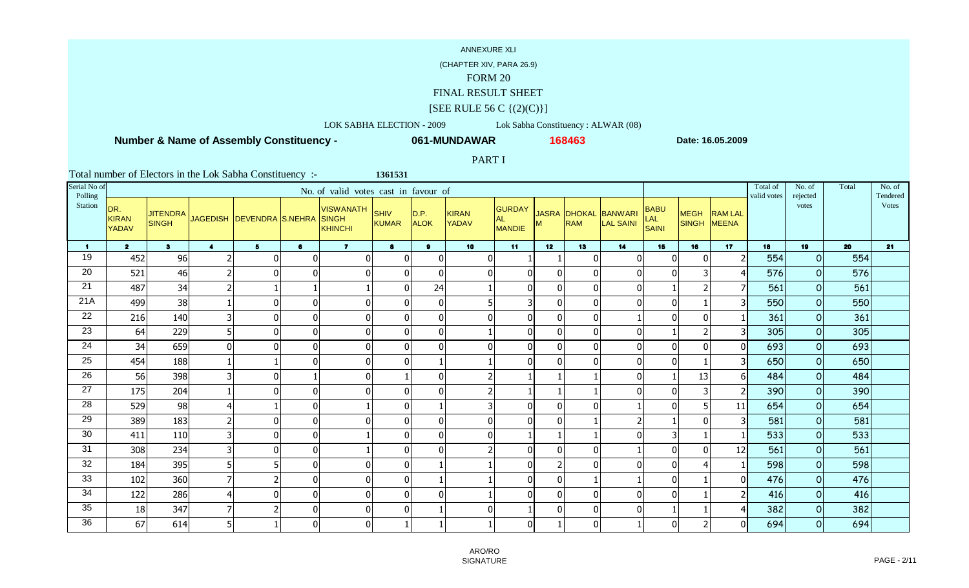(CHAPTER XIV, PARA 26.9)

### FORM 20

### FINAL RESULT SHEET

### $[SEE$  RULE 56 C  $\{(2)(C)\}]$

LOK SABHA ELECTION - 2009 Lok Sabha Constituency : ALWAR (08)

**1361531**

 **Number & Name of Assembly Constituency -**

**061-MUNDAWAR**

**<sup>168463</sup> Date: 16.05.2009**

PART I

| Serial No of<br>Polling |                                     |                                 |                         |                           |              | No. of valid votes cast in favour of        |                      |                     |                       |                               |                          |     |                                          |                             |                            |                | Total of<br>valid votes | No. of<br>rejected | Total | No. of<br>Tendered |
|-------------------------|-------------------------------------|---------------------------------|-------------------------|---------------------------|--------------|---------------------------------------------|----------------------|---------------------|-----------------------|-------------------------------|--------------------------|-----|------------------------------------------|-----------------------------|----------------------------|----------------|-------------------------|--------------------|-------|--------------------|
| Station                 | DR.<br><b>KIRAN</b><br><b>YADAV</b> | <b>JITENDRA</b><br><b>SINGH</b> |                         | JAGEDISH DEVENDRA S.NEHRA |              | <b>VISWANATH</b><br><b>SINGH</b><br>KHINCHI | SHIV<br><b>KUMAR</b> | D.P.<br><b>ALOK</b> | <b>KIRAN</b><br>YADAV | GURDAY<br><b>AL</b><br>MANDIE | M                        | RAM | JASRA DHOKAL BANWARI<br><b>LAL SAINI</b> | <b>BABU</b><br>LAL<br>SAINI | <b>MEGH</b><br>SINGH MEENA | <b>RAM LAL</b> |                         | votes              |       | <b>Votes</b>       |
| $\mathbf 1$             | $\overline{2}$                      | 3 <sup>1</sup>                  | $\overline{4}$          | 5 <sub>5</sub>            | $\mathbf{6}$ | $\overline{7}$                              | 8                    | $\mathbf{9}$        | 10 <sup>1</sup>       | 11                            | 12                       | 13  | 14                                       | 15                          | 16                         | 17             | 18                      | 19                 | 20    | 21                 |
| 19                      | 452                                 | 96                              | $\overline{2}$          | $\Omega$                  | $\Omega$     | $\Omega$                                    | $\mathbf 0$          | $\mathbf 0$         | $\mathbf 0$           |                               |                          | n   | ſ                                        | $\mathbf{0}$                | $\Omega$                   |                | 554                     | $\overline{O}$     | 554   |                    |
| 20                      | 521                                 | 46                              | $\overline{2}$          | $\Omega$                  | $\mathbf{0}$ | $\Omega$                                    | $\mathbf 0$          | $\Omega$            | $\overline{0}$        | $\mathbf 0$                   | $\Omega$                 |     | $\Omega$                                 |                             | 3                          |                | 576                     | $\circ$            | 576   |                    |
| 21                      | 487                                 | 34                              | $\overline{2}$          |                           |              |                                             | $\mathbf 0$          | 24                  |                       | $\mathbf 0$                   | $\mathbf{0}$             |     | 0                                        |                             |                            |                | 561                     | $\Omega$           | 561   |                    |
| 21A                     | 499                                 | 38                              |                         | $\Omega$                  | $\mathbf{0}$ | $\Omega$                                    | $\mathbf 0$          | $\overline{0}$      | 5                     | 3                             | $\Omega$                 |     | $\Omega$                                 | $\Omega$                    |                            |                | 550                     | $\overline{0}$     | 550   |                    |
| 22                      | 216                                 | 140                             | 3                       | $\boldsymbol{0}$          | 0            | $\Omega$                                    | $\mathbf 0$          | $\overline{0}$      | $\mathbf 0$           | $\pmb{0}$                     | $\mathbf 0$              |     |                                          | $\mathbf{0}$                | $\Omega$                   |                | 361                     | $\overline{O}$     | 361   |                    |
| 23                      | 64                                  | 229                             | 5                       | $\mathbf 0$               | 0            | $\mathbf 0$                                 | $\overline{0}$       | $\overline{0}$      |                       | $\overline{0}$                | $\mathbf 0$              |     | $\Omega$                                 |                             | $\overline{2}$             |                | 305                     | $\circ$            | 305   |                    |
| 24                      | 34                                  | 659                             | 0                       | $\Omega$                  | $\mathbf{0}$ | $\Omega$                                    | $\overline{0}$       | $\mathbf 0$         | $\overline{0}$        | $\overline{0}$                | $\mathbf{0}$             |     | $\Omega$                                 | $\Omega$                    | $\Omega$                   | $\overline{0}$ | 693                     | $\circ$            | 693   |                    |
| $\overline{25}$         | 454                                 | 188                             |                         |                           | $\mathbf{0}$ | $\Omega$                                    | $\overline{0}$       |                     |                       | $\overline{0}$                | $\mathbf{0}$             |     | $\Omega$                                 | $\Omega$                    |                            |                | 650                     | $\Omega$           | 650   |                    |
| $\overline{26}$         | 56                                  | 398                             | 3                       | $\Omega$                  |              | $\Omega$                                    |                      | $\mathbf 0$         | 2                     |                               |                          |     | $\Omega$                                 |                             | 13                         | 6              | 484                     | $\circ$            | 484   |                    |
| $\overline{27}$         | 175                                 | 204                             |                         | $\Omega$                  | 0            | $\Omega$                                    | $\mathbf 0$          | $\mathbf 0$         | 2                     |                               |                          |     | ſ                                        | $\Omega$                    | 3                          |                | 390                     | $\overline{O}$     | 390   |                    |
| 28                      | 529                                 | 98                              | 4                       |                           | 0            |                                             | $\mathbf 0$          |                     | 3                     | $\pmb{0}$                     | $\mathbf 0$              |     |                                          |                             | 5                          | 11             | 654                     | $\circ$            | 654   |                    |
| 29                      | 389                                 | 183                             | $\overline{2}$          | $\Omega$                  | $\mathbf{0}$ | $\Omega$                                    | $\boldsymbol{0}$     | $\Omega$            | $\overline{0}$        | $\mathbf 0$                   | $\mathbf{0}$             |     |                                          |                             | $\Omega$                   |                | 581                     | $\Omega$           | 581   |                    |
| 30                      | 411                                 | 110                             | $\overline{\mathsf{3}}$ | $\Omega$                  | $\mathbf{0}$ |                                             | $\mathbf 0$          | $\overline{0}$      | $\overline{0}$        |                               |                          |     |                                          | 31                          |                            |                | 533                     | $\Omega$           | 533   |                    |
| 31                      | 308                                 | 234                             | 3                       | $\Omega$                  | 0            |                                             | $\mathbf 0$          | $\overline{0}$      | 2                     | $\mathbf 0$                   | $\mathbf 0$              |     |                                          | 0                           | $\mathbf{0}$               | 12             | 561                     | $\circ$            | 561   |                    |
| 32                      | 184                                 | 395                             | 5                       | 5                         | 0            | $\Omega$                                    | $\overline{0}$       |                     |                       | $\overline{0}$                | $\overline{\phantom{a}}$ |     | $\Omega$                                 | $\Omega$                    | $\overline{4}$             |                | 598                     | $\overline{O}$     | 598   |                    |
| 33                      | 102                                 | 360                             | $\overline{7}$          | $\overline{\phantom{0}}$  | $\mathbf{0}$ | $\Omega$                                    | $\overline{0}$       |                     |                       | $\overline{0}$                | $\mathbf{0}$             |     |                                          | $\Omega$                    |                            | $\Omega$       | 476                     | $\overline{O}$     | 476   |                    |
| 34                      | 122                                 | 286                             | 4                       | $\mathbf{0}$              | $\mathbf{0}$ | $\Omega$                                    | $\overline{0}$       | $\mathbf 0$         |                       | $\overline{0}$                | $\mathbf{0}$             |     | $\Omega$                                 | $\Omega$                    |                            |                | 416                     | $\Omega$           | 416   |                    |
| 35                      | 18                                  | 347                             | $\overline{7}$          |                           | 0            | $\Omega$                                    | $\overline{0}$       |                     | $\overline{0}$        |                               | $\Omega$                 |     | $\Omega$                                 |                             |                            |                | 382                     | $\circ$            | 382   |                    |
| 36                      | 67                                  | 614                             | 5                       |                           | $\Omega$     | $\Omega$                                    |                      |                     |                       | $\mathbf 0$                   |                          | n   |                                          | $\Omega$                    | $\mathcal{P}$              | ΩI             | 694                     | $\circ$            | 694   |                    |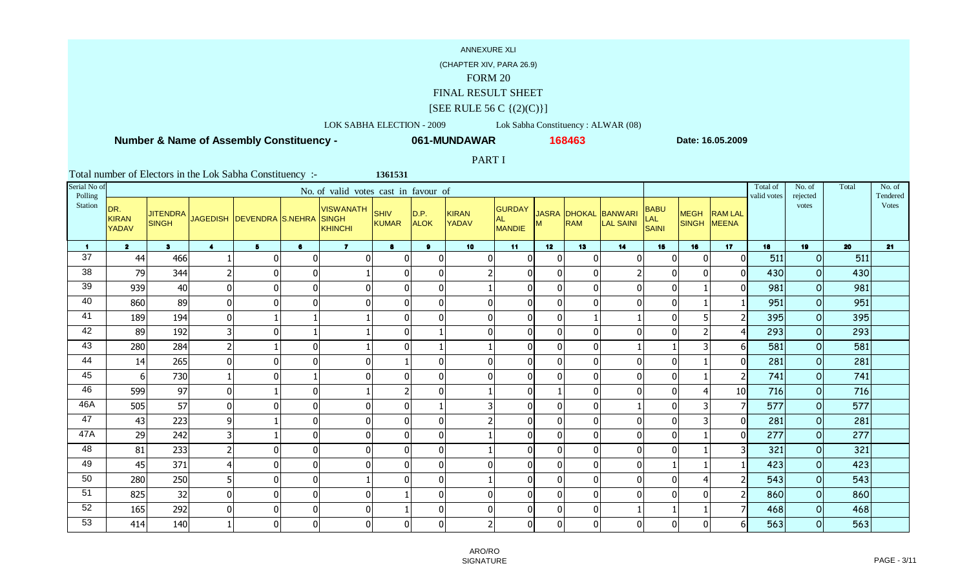### (CHAPTER XIV, PARA 26.9)

### FORM 20

## FINAL RESULT SHEET

### $[SEE$  RULE 56 C  $\{(2)(C)\}]$

### LOK SABHA ELECTION - 2009 Lok Sabha Constituency : ALWAR (08)

**1361531**

 **Number & Name of Assembly Constituency -**

**061-MUNDAWAR**

**<sup>168463</sup> Date: 16.05.2009**

### PART I

| Serial No of<br>Polling |                                     |                                 |                         |                                 |                | No. of valid votes cast in favour of |                             |                     |                              |                                             |                |            |                                          |                             |                            |                | Total of<br>valid votes | No. of<br>rejected | Total | No. of<br>Tendered |
|-------------------------|-------------------------------------|---------------------------------|-------------------------|---------------------------------|----------------|--------------------------------------|-----------------------------|---------------------|------------------------------|---------------------------------------------|----------------|------------|------------------------------------------|-----------------------------|----------------------------|----------------|-------------------------|--------------------|-------|--------------------|
| Station                 | DR.<br><b>KIRAN</b><br><b>YADAV</b> | <b>JITENDRA</b><br><b>SINGH</b> |                         | JAGEDISH DEVENDRA S.NEHRA SINGH |                | <b>VISWANATH</b><br>KHINCHI          | <b>SHIV</b><br><b>KUMAR</b> | D.P.<br><b>ALOK</b> | <b>KIRAN</b><br><b>YADAV</b> | <b>GURDAY</b><br><b>AL</b><br><b>MANDIE</b> | м              | <b>RAM</b> | JASRA DHOKAL BANWARI<br><b>LAL SAINI</b> | <b>BABU</b><br>LAL<br>SAINI | <b>MEGH</b><br>SINGH MEENA | <b>RAM LAL</b> |                         | votes              |       | <b>Votes</b>       |
| $\mathbf{1}$            | $\overline{2}$                      | 3 <sup>1</sup>                  | $\overline{\mathbf{4}}$ | 5 <sup>5</sup>                  | $\bullet$      | $\overline{7}$                       | 8                           | $\mathbf{9}$        | 10 <sub>1</sub>              | 11                                          | 12             | 13         | 14                                       | 15                          | 16                         | 17             | 18                      | 19                 | 20    | 21                 |
| 37                      | 44                                  | 466                             |                         | $\Omega$                        | 0              | $\Omega$                             | $\mathbf{0}$                | $\mathbf 0$         | $\overline{0}$               | $\mathbf 0$                                 | $\mathbf{0}$   |            | $\Omega$                                 | $\overline{0}$              | $\mathbf{0}$               | $\Omega$       | 511                     | $\circ$            | 511   |                    |
| 38                      | 79                                  | 344                             | $\overline{2}$          | $\mathbf{0}$                    | $\overline{0}$ |                                      | $\pmb{0}$                   | $\overline{0}$      |                              | $\mathbf 0$                                 | $\mathbf{0}$   |            |                                          | $\overline{0}$              | $\Omega$                   |                | 430                     | $\circ$            | 430   |                    |
| 39                      | 939                                 | 40                              | $\overline{0}$          | $\mathbf{0}$                    | $\overline{0}$ | 0                                    | $\mathbf 0$                 | $\overline{0}$      |                              | $\overline{0}$                              | $\mathbf{0}$   |            | $\Omega$                                 | $\overline{0}$              |                            |                | 981                     | $\Omega$           | 981   |                    |
| 40                      | 860                                 | 89                              | $\overline{0}$          | $\Omega$                        | 0              | 0                                    | $\pmb{0}$                   | $\overline{0}$      | $\Omega$                     | $\mathbf 0$                                 | $\mathbf 0$    |            | $\Omega$                                 | $\overline{0}$              |                            |                | 951                     | $\mathbf 0$        | 951   |                    |
| 41                      | 189                                 | 194                             | $\overline{0}$          | 1                               |                |                                      | $\pmb{0}$                   | $\mathbf 0$         | $\overline{0}$               | $\mathbf 0$                                 | $\mathbf 0$    |            |                                          | 0                           | 5                          |                | 395                     | $\overline{O}$     | 395   |                    |
| 42                      | 89                                  | 192                             | $\overline{3}$          | $\Omega$                        |                |                                      | $\pmb{0}$                   |                     | $\overline{0}$               | $\mathbf 0$                                 | $\mathbf 0$    |            | $\Omega$                                 | $\overline{0}$              | $\overline{2}$             |                | 293                     | $\circ$            | 293   |                    |
| 43                      | 280                                 | 284                             | $\overline{2}$          | $\mathbf{1}$                    | $\overline{0}$ |                                      | $\overline{0}$              |                     |                              | $\overline{0}$                              | $\mathbf{0}$   |            |                                          |                             | 3                          | 61             | 581                     | $\circ$            | 581   |                    |
| 44                      | 14                                  | 265                             | $\overline{0}$          | $\Omega$                        | $\overline{0}$ | $\Omega$                             |                             | 0                   | $\overline{0}$               | $\overline{0}$                              | $\mathbf{0}$   |            | $\Omega$                                 | $\overline{0}$              |                            | $\Omega$       | 281                     | $\Omega$           | 281   |                    |
| 45                      | 61                                  | 730                             |                         | $\Omega$                        |                | 0                                    | $\pmb{0}$                   | $\overline{0}$      | $\overline{0}$               | $\overline{0}$                              | $\mathbf{0}$   |            | $\Omega$                                 | $\overline{0}$              |                            |                | 741                     | $\circ$            | 741   |                    |
| 46                      | 599                                 | 97                              | 0                       | -1                              | $\overline{0}$ |                                      | $\overline{2}$              | $\overline{0}$      |                              | $\mathbf 0$                                 |                |            | $\Omega$                                 | $\overline{0}$              | $\overline{\mathbf{4}}$    | 10             | 716                     | $\mathbf 0$        | 716   |                    |
| 46A                     | 505                                 | 57                              | 0                       | $\Omega$                        | $\overline{0}$ |                                      | $\pmb{0}$                   |                     | 3                            | $\mathbf 0$                                 | $\mathbf 0$    |            |                                          | $\overline{0}$              | 3                          |                | 577                     | $\circ$            | 577   |                    |
| 47                      | 43                                  | 223                             | $\overline{9}$          |                                 | $\overline{0}$ | $\Omega$                             | $\mathbf{0}$                | 0                   |                              | $\overline{0}$                              | $\mathbf{0}$   |            | $\Omega$                                 | $\overline{0}$              | 3                          | ΩI             | 281                     | $\Omega$           | 281   |                    |
| 47A                     | 29                                  | 242                             | $\overline{\mathbf{3}}$ |                                 | $\overline{0}$ | $\Omega$                             | $\pmb{0}$                   | $\mathbf 0$         |                              | $\overline{0}$                              | $\mathbf{0}$   |            | $\Omega$                                 | $\overline{0}$              |                            | U              | 277                     | $\Omega$           | 277   |                    |
| 48                      | 81                                  | 233                             | $\overline{2}$          | 0                               | $\overline{0}$ | $\Omega$                             | $\overline{0}$              | $\mathbf 0$         |                              | $\mathbf 0$                                 | $\mathbf 0$    |            | $\mathbf 0$                              | $\overline{0}$              |                            |                | 321                     | $\mathbf 0$        | 321   |                    |
| 49                      | 45                                  | 371                             | 4                       | $\mathbf 0$                     | $\overline{0}$ | $\Omega$                             | $\pmb{0}$                   | $\overline{0}$      | $\overline{0}$               | $\mathbf 0$                                 | $\mathbf 0$    |            | $\Omega$                                 |                             |                            |                | 423                     | $\mathbf 0$        | 423   |                    |
| 50                      | 280                                 | 250                             | $5\vert$                | $\mathbf{0}$                    | 0              |                                      | $\Omega$                    | $\overline{0}$      |                              | $\overline{0}$                              | $\overline{0}$ |            | $\Omega$                                 | $\overline{0}$              | $\overline{\mathbf{4}}$    |                | 543                     | $\circ$            | 543   |                    |
| 51                      | 825                                 | 32                              | $\overline{0}$          | $\mathbf{0}$                    | 0              | 0                                    |                             | $\overline{0}$      | $\overline{0}$               | $\overline{0}$                              | $\mathbf{0}$   |            | $\Omega$                                 | $\overline{0}$              | $\Omega$                   |                | 860                     | $\circ$            | 860   |                    |
| 52                      | 165                                 | 292                             | $\overline{0}$          | $\Omega$                        | $\overline{0}$ | $\Omega$                             |                             | $\overline{0}$      | 0                            | $\Omega$                                    | $\Omega$       |            |                                          |                             |                            |                | 468                     | $\mathbf 0$        | 468   |                    |
| 53                      | 414                                 | 140                             |                         | $\Omega$                        | 0              | $\Omega$                             | $\mathbf 0$                 | $\overline{0}$      | 2                            | $\overline{0}$                              | $\mathbf 0$    |            | $\Omega$                                 | $\overline{0}$              | $\Omega$                   |                | 563                     | $\circ$            | 563   |                    |

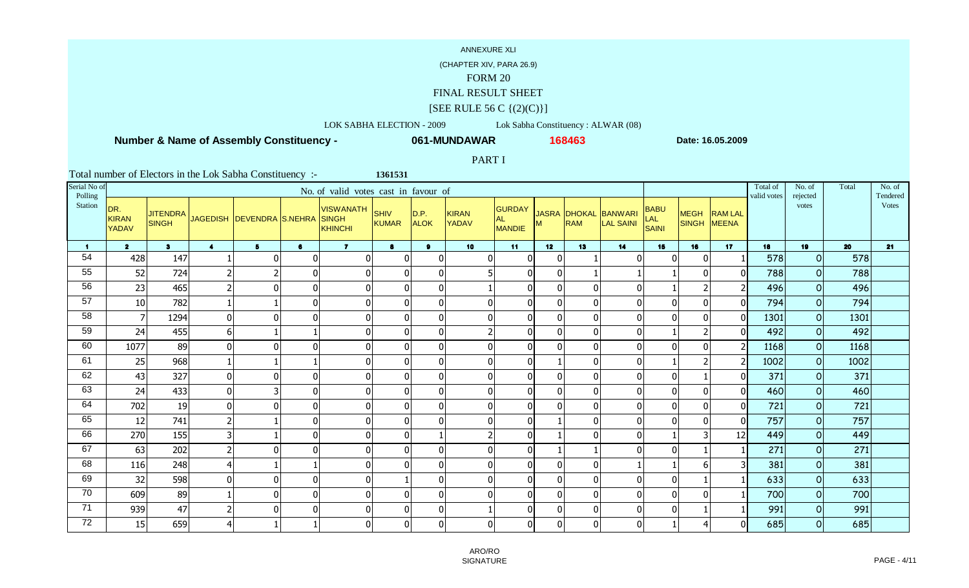(CHAPTER XIV, PARA 26.9)

### FORM 20

### FINAL RESULT SHEET

### $[SEE$  RULE 56 C  $\{(2)(C)\}]$

LOK SABHA ELECTION - 2009 Lok Sabha Constituency : ALWAR (08)

**1361531**

 **Number & Name of Assembly Constituency -**

**061-MUNDAWAR**

**<sup>168463</sup> Date: 16.05.2009**

PART I

| Serial No of<br>Polling |                                     |                                 |                         |                                 |                | No. of valid votes cast in favour of |                      |                     |                              |                                             |                 |            |                                   |                             |                            |                | Total of<br>valid votes | No. of<br>rejected | Total | No. of<br>Tendered |
|-------------------------|-------------------------------------|---------------------------------|-------------------------|---------------------------------|----------------|--------------------------------------|----------------------|---------------------|------------------------------|---------------------------------------------|-----------------|------------|-----------------------------------|-----------------------------|----------------------------|----------------|-------------------------|--------------------|-------|--------------------|
| <b>Station</b>          | DR.<br><b>KIRAN</b><br><b>YADAV</b> | <b>JITENDRA</b><br><b>SINGH</b> |                         | JAGEDISH DEVENDRA S.NEHRA SINGH |                | <b>VISWANATH</b><br>KHINCHI          | SHIV<br><b>KUMAR</b> | D.P.<br><b>ALOK</b> | <b>KIRAN</b><br><b>YADAV</b> | <b>GURDAY</b><br><b>AL</b><br><b>MANDIE</b> | м               | <b>RAM</b> | JASRA DHOKAL BANWARI<br>LAL SAINI | <b>BABU</b><br>LAL<br>SAINI | <b>MEGH</b><br>SINGH MEENA | <b>RAM LAL</b> |                         | votes              |       | Votes              |
| $\blacksquare$          | $\overline{2}$                      | 3 <sup>1</sup>                  | $\blacktriangleleft$    | 5 <sup>5</sup>                  | $\bullet$      | $\overline{7}$                       | 8                    | 9                   | 10 <sub>1</sub>              | 11                                          | 12 <sup>7</sup> | 13         | 14                                | 15                          | 16                         | 17             | 18                      | 19                 | 20    | 21                 |
| 54                      | 428                                 | 147                             |                         | $\Omega$                        | 0              | ſ                                    | $\mathbf 0$          | $\mathbf 0$         | $\overline{0}$               | $\mathbf 0$                                 | $\mathbf{0}$    |            |                                   | $\overline{0}$              | $\mathbf{0}$               |                | 578                     | $\overline{O}$     | 578   |                    |
| 55                      | 52                                  | 724                             | $\overline{2}$          | $\overline{2}$                  | $\overline{0}$ |                                      | $\mathbf 0$          | $\overline{0}$      | 5                            | $\overline{0}$                              | $\mathbf{0}$    |            |                                   |                             | $\mathbf 0$                |                | 788                     | $\Omega$           | 788   |                    |
| 56                      | 23                                  | 465                             | $\overline{2}$          | $\Omega$                        | $\overline{0}$ | 0                                    | 0                    | 0                   |                              | $\overline{0}$                              | 0               |            | $\Omega$                          |                             | 2                          |                | 496                     | $\circ$            | 496   |                    |
| 57                      | 10                                  | 782                             |                         |                                 | $\overline{0}$ | $\Omega$                             | $\pmb{0}$            | $\overline{0}$      | $\overline{0}$               | $\overline{0}$                              | 0               |            | $\Omega$                          | $\overline{0}$              | $\Omega$                   | U              | 794                     | $\mathbf 0$        | 794   |                    |
| 58                      | $\overline{7}$                      | 1294                            | $\overline{0}$          | $\mathbf{0}$                    | $\overline{0}$ | $\Omega$                             | $\overline{0}$       | 0                   | $\overline{0}$               | $\mathbf 0$                                 | $\mathbf 0$     |            | $\Omega$                          | $\overline{0}$              | $\mathbf{0}$               | 0              | 1301                    | $\circ$            | 1301  |                    |
| 59                      | 24                                  | 455                             | $6\vert$                |                                 |                | $\Omega$                             | $\overline{0}$       | $\overline{0}$      | $\overline{2}$               | $\overline{0}$                              | $\mathbf 0$     |            | $\Omega$                          |                             | $\overline{2}$             |                | 492                     | $\Omega$           | 492   |                    |
| 60                      | 1077                                | 89                              | $\overline{0}$          | $\mathbf{0}$                    | $\overline{0}$ | $\Omega$                             | $\overline{0}$       | $\overline{0}$      | $\overline{0}$               | $\overline{0}$                              | $\mathbf 0$     |            | $\Omega$                          | $\overline{0}$              | $\mathbf{0}$               |                | 1168                    | $\circ$            | 1168  |                    |
| 61                      | 25                                  | 968                             |                         |                                 |                | 0                                    | $\pmb{0}$            | $\overline{0}$      | $\overline{0}$               | $\overline{0}$                              |                 |            | $\Omega$                          |                             | $\overline{2}$             |                | 1002                    | $\mathbf 0$        | 1002  |                    |
| 62                      | 43                                  | 327                             | 0                       | $\Omega$                        | $\overline{0}$ | $\Omega$                             | $\pmb{0}$            | $\overline{0}$      | $\overline{0}$               | $\overline{0}$                              | $\Omega$        |            | $\Omega$                          | $\overline{0}$              |                            |                | 371                     | $\mathbf 0$        | 371   |                    |
| 63                      | 24                                  | 433                             | 0                       | 3                               | $\overline{0}$ | $\Omega$                             | $\pmb{0}$            | $\overline{0}$      | $\overline{0}$               | $\overline{0}$                              | $\mathbf{0}$    |            | $\Omega$                          | $\overline{0}$              | $\mathbf{0}$               | 0              | 460                     | $\mathbf 0$        | 460   |                    |
| 64                      | 702                                 | 19                              | 0                       | $\Omega$                        | $\overline{0}$ |                                      | $\pmb{0}$            | $\overline{0}$      | $\overline{0}$               | $\overline{0}$                              | $\mathbf{0}$    |            | $\Omega$                          | $\overline{0}$              | $\Omega$                   | ΩI             | 721                     | $\mathbf 0$        | 721   |                    |
| 65                      | 12                                  | 741                             | $\overline{2}$          |                                 | $\overline{0}$ | $\Omega$                             | $\mathbf 0$          | $\mathbf{0}$        | 0                            | $\overline{0}$                              |                 |            | $\Omega$                          | $\overline{0}$              | $\Omega$                   | $\Omega$       | 757                     | $\mathbf 0$        | 757   |                    |
| 66                      | 270                                 | 155                             | $\overline{\mathbf{3}}$ |                                 | $\overline{0}$ | $\Omega$                             | $\pmb{0}$            |                     |                              | $\mathbf 0$                                 |                 |            | $\Omega$                          |                             | 3                          | 12             | 449                     | $\Omega$           | 449   |                    |
| 67                      | 63                                  | 202                             | $\overline{2}$          | $\mathbf{0}$                    | $\overline{0}$ | $\Omega$                             | $\overline{0}$       | $\mathbf 0$         | $\overline{0}$               | $\mathbf 0$                                 |                 |            | $\Omega$                          | $\overline{0}$              |                            |                | 271                     | $\circ$            | 271   |                    |
| 68                      | 116                                 | 248                             | 4                       |                                 |                | $\Omega$                             | $\mathbf 0$          | $\overline{0}$      | $\overline{0}$               | $\mathbf 0$                                 | $\mathbf 0$     |            |                                   |                             | 6                          |                | 381                     | $\mathbf 0$        | 381   |                    |
| 69                      | 32                                  | 598                             | 0                       | $\mathbf{0}$                    | 0              | $\Omega$                             |                      | $\overline{0}$      | $\overline{0}$               | $\overline{0}$                              | $\mathbf 0$     |            | $\Omega$                          | $\overline{0}$              |                            |                | 633                     | $\overline{O}$     | 633   |                    |
| 70                      | 609                                 | 89                              |                         | $\mathbf 0$                     | 0              | $\Omega$                             | $\mathbf{0}$         | $\overline{0}$      | $\mathbf{0}$                 | $\overline{0}$                              | $\mathbf{0}$    |            | $\Omega$                          | $\overline{0}$              | $\Omega$                   |                | 700                     | $\circ$            | 700   |                    |
| 71                      | 939                                 | 47                              | $\overline{c}$          | $\Omega$                        | $\overline{0}$ | $\Omega$                             | $\pmb{0}$            | $\overline{0}$      |                              | $\Omega$                                    | $\Omega$        |            | $\Omega$                          | $\Omega$                    |                            |                | 991                     | $\circ$            | 991   |                    |
| 72                      | 15                                  | 659                             | 4                       | -1                              |                | $\Omega$                             | $\mathbf 0$          | $\overline{0}$      | $\overline{0}$               | $\overline{0}$                              | $\mathbf 0$     |            | $\Omega$                          |                             | 4                          |                | 685                     | $\circ$            | 685   |                    |

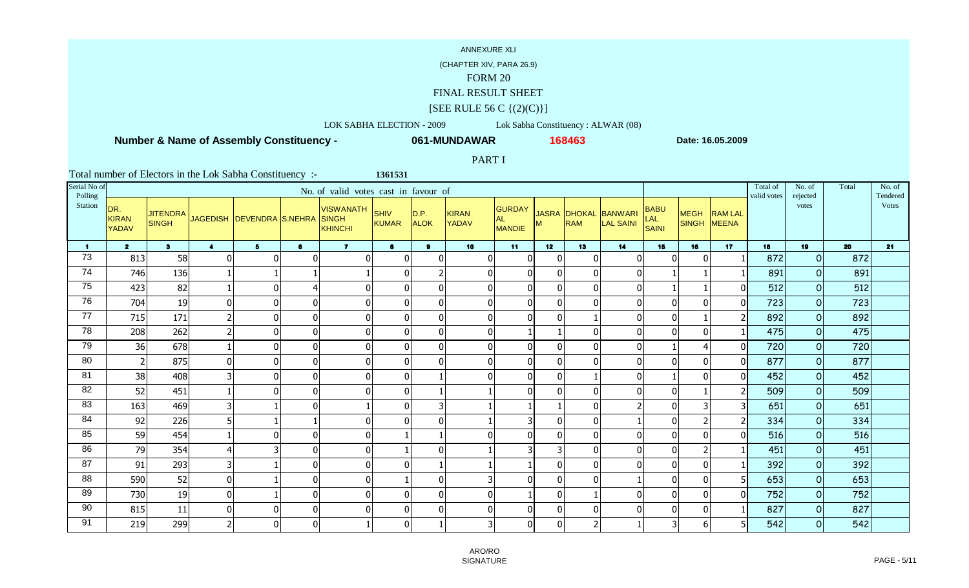### (CHAPTER XIV, PARA 26.9)

### FORM 20

## FINAL RESULT SHEET

### $[SEE$  RULE 56 C  $\{(2)(C)\}]$

### LOK SABHA ELECTION - 2009 Lok Sabha Constituency : ALWAR (08)

**1361531**

 **Number & Name of Assembly Constituency -**

**061-MUNDAWAR**

**<sup>168463</sup> Date: 16.05.2009**

### PART I

| Serial No of<br>Polling |                                     |                |                         |                                          |                | No. of valid votes cast in favour of |                             |                     |                              |                                      |                 |            |                                   |                             |                            |                | Total of<br>valid votes | No. of<br>rejected | Total | No. of<br>Tendered |
|-------------------------|-------------------------------------|----------------|-------------------------|------------------------------------------|----------------|--------------------------------------|-----------------------------|---------------------|------------------------------|--------------------------------------|-----------------|------------|-----------------------------------|-----------------------------|----------------------------|----------------|-------------------------|--------------------|-------|--------------------|
| Station                 | DR.<br><b>KIRAN</b><br><b>YADAV</b> | <b>SINGH</b>   |                         | JITENDRA JAGEDISH DEVENDRA S.NEHRA SINGH |                | <b>VISWANATH</b><br>KHINCHI          | <b>SHIV</b><br><b>KUMAR</b> | D.P.<br><b>ALOK</b> | <b>KIRAN</b><br><b>YADAV</b> | GURDAY<br><b>AL</b><br><b>MANDIE</b> | м               | <b>RAM</b> | JASRA DHOKAL BANWARI<br>LAL SAINI | <b>BABU</b><br>LAL<br>SAINI | <b>MEGH</b><br>SINGH MEENA | <b>RAM LAL</b> |                         | votes              |       | <b>Votes</b>       |
| $\mathbf{1}$            | $\overline{2}$                      | 3 <sup>1</sup> | $\blacktriangleleft$    | 5 <sup>5</sup>                           | 6              | $\overline{7}$                       | 8                           | 9                   | 10 <sup>°</sup>              | 11                                   | 12 <sup>7</sup> | 13         | 14                                | 15                          | 16                         | 17             | 18                      | 19                 | 20    | 21                 |
| 73                      | 813                                 | 58             | $\Omega$                | $\Omega$                                 | 0              | $\Omega$                             | $\mathbf{0}$                | 0                   | $\overline{0}$               | $\overline{0}$                       | $\mathbf{0}$    |            | $\Omega$                          | $\overline{0}$              | $\Omega$                   |                | 872                     | $\circ$            | 872   |                    |
| 74                      | 746                                 | 136            |                         |                                          |                |                                      | $\mathbf 0$                 | $\overline{2}$      | $\overline{0}$               | $\overline{0}$                       | $\Omega$        |            | $\Omega$                          |                             |                            |                | 891                     | $\circ$            | 891   |                    |
| 75                      | 423                                 | 82             |                         | $\mathbf{0}$                             | $\overline{4}$ |                                      | $\pmb{0}$                   | $\overline{0}$      | $\overline{0}$               | $\mathbf 0$                          | $\mathbf{0}$    |            | $\Omega$                          |                             |                            |                | 512                     | $\circ$            | 512   |                    |
| 76                      | 704                                 | 19             | 0                       | $\Omega$                                 | $\overline{0}$ | 0                                    | $\mathbf 0$                 | $\mathbf 0$         | 0                            | $\overline{0}$                       | $\mathbf{0}$    |            | $\Omega$                          | $\overline{0}$              | $\Omega$                   |                | 723                     | $\Omega$           | 723   |                    |
| 77                      | 715                                 | 171            | $\overline{2}$          | 0                                        | $\overline{0}$ | $\Omega$                             | $\pmb{0}$                   | $\mathbf 0$         | $\overline{0}$               | $\overline{0}$                       | 0               |            | $\Omega$                          | $\overline{0}$              |                            |                | 892                     | $\circ$            | 892   |                    |
| 78                      | 208                                 | 262            | $\overline{2}$          | $\mathbf 0$                              | $\overline{0}$ | $\Omega$                             | $\pmb{0}$                   | $\overline{0}$      | $\overline{0}$               |                                      |                 |            | $\Omega$                          | $\overline{0}$              | $\Omega$                   |                | 475                     | $\mathbf 0$        | 475   |                    |
| 79                      | 36                                  | 678            |                         | 0                                        | 0              | $\Omega$                             | $\overline{0}$              | $\overline{0}$      | $\overline{0}$               | $\mathbf 0$                          | $\mathbf 0$     |            | $\Omega$                          |                             | $\overline{4}$             | ΩI             | 720                     | $\overline{0}$     | 720   |                    |
| 80                      | $\overline{2}$                      | 875            | $\overline{0}$          | $\mathbf{0}$                             | 0              | $\Omega$                             | $\mathbf 0$                 | $\overline{0}$      | $\overline{0}$               | $\overline{0}$                       | $\Omega$        |            | $\Omega$                          | $\Omega$                    | $\Omega$                   | ΩI             | 877                     | $\mathbf 0$        | 877   |                    |
| 81                      | 38                                  | 408            | 3                       | $\Omega$                                 | $\overline{0}$ | $\Omega$                             | $\pmb{0}$                   |                     | 0                            | $\overline{0}$                       | $\Omega$        |            | $\Omega$                          |                             | $\Omega$                   | U              | 452                     | $\mathbf 0$        | 452   |                    |
| 82                      | 52                                  | 451            |                         | $\mathbf 0$                              | $\overline{0}$ | $\Omega$                             | $\pmb{0}$                   |                     |                              | $\overline{0}$                       | $\mathbf{0}$    |            | $\Omega$                          | $\overline{0}$              |                            |                | 509                     | $\circ$            | 509   |                    |
| 83                      | 163                                 | 469            | $\overline{\mathbf{3}}$ |                                          | $\overline{0}$ |                                      | $\pmb{0}$                   | $\overline{3}$      |                              |                                      |                 |            |                                   | $\overline{0}$              | 3                          |                | 651                     | $\Omega$           | 651   |                    |
| 84                      | 92                                  | 226            | 5 <sup>1</sup>          |                                          |                | 0                                    | $\mathbf 0$                 | $\mathbf 0$         |                              | 3                                    | $\mathbf{0}$    |            |                                   | $\overline{0}$              | $\overline{2}$             |                | 334                     | $\circ$            | 334   |                    |
| 85                      | 59                                  | 454            |                         | $\Omega$                                 | $\overline{0}$ | $\Omega$                             |                             |                     | 0                            | $\overline{0}$                       | $\mathbf{0}$    |            | $\Omega$                          | $\overline{0}$              | $\Omega$                   |                | 516                     | $\mathbf 0$        | 516   |                    |
| 86                      | 79                                  | 354            | 4                       | 3                                        | $\overline{0}$ | $\Omega$                             |                             | $\mathbf 0$         |                              | 3                                    | 3               |            | $\Omega$                          | 0                           | $\overline{2}$             |                | 451                     | $\mathbf 0$        | 451   |                    |
| 87                      | 91                                  | 293            | $\overline{3}$          |                                          | $\overline{0}$ | $\Omega$                             | $\mathbf{0}$                |                     |                              |                                      | $\mathbf{0}$    |            | $\Omega$                          | $\overline{0}$              | $\mathbf 0$                |                | 392                     | $\circ$            | 392   |                    |
| 88                      | 590                                 | 52             | 0                       |                                          | 0              | $\Omega$                             |                             | $\overline{0}$      | 31                           | $\overline{0}$                       | $\mathbf 0$     |            |                                   | $\overline{0}$              | $\Omega$                   |                | 653                     | $\circ$            | 653   |                    |
| 89                      | 730                                 | 19             | $\overline{0}$          |                                          | $\overline{0}$ | $\Omega$                             | 0                           | $\overline{0}$      | 0                            |                                      | $\mathbf{0}$    |            | $\Omega$                          | $\overline{0}$              | $\Omega$                   |                | 752                     | $\circ$            | 752   |                    |
| 90                      | 815                                 | 11             | $\overline{0}$          | $\Omega$                                 | $\overline{0}$ | $\Omega$                             | $\mathbf 0$                 | $\mathbf 0$         | 0                            | $\Omega$                             | $\Omega$        |            | $\Omega$                          | $\Omega$                    | $\Omega$                   |                | 827                     | $\circ$            | 827   |                    |
| 91                      | 219                                 | 299            | $\overline{2}$          | $\Omega$                                 | $\overline{0}$ |                                      | $\mathbf 0$                 |                     | 3                            | $\overline{0}$                       | $\mathbf 0$     |            |                                   | $\overline{3}$              | 6                          |                | 542                     | $\circ$            | 542   |                    |

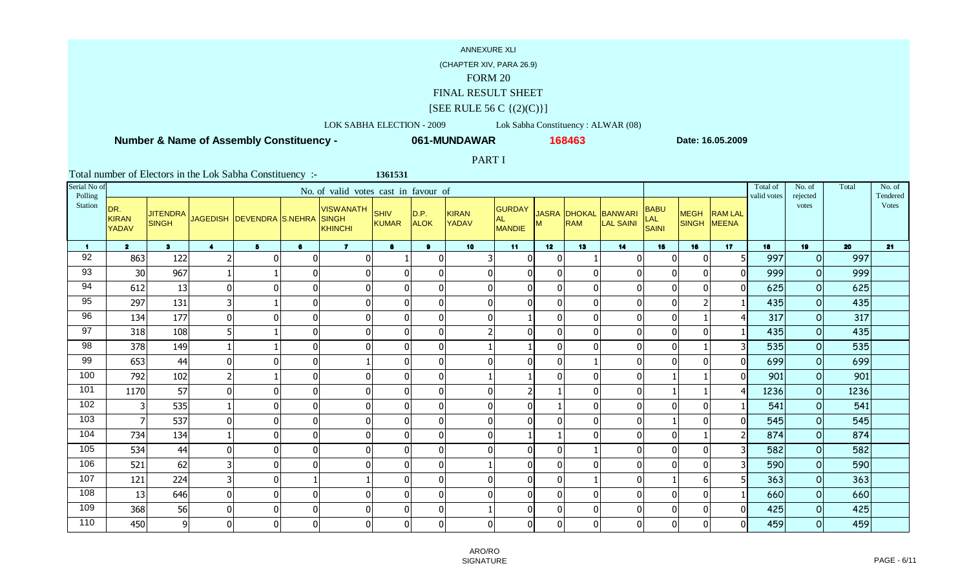### (CHAPTER XIV, PARA 26.9)

### FORM 20

## FINAL RESULT SHEET

### $[SEE$  RULE 56 C  $\{(2)(C)\}]$

### LOK SABHA ELECTION - 2009 Lok Sabha Constituency : ALWAR (08)

**1361531**

 **Number & Name of Assembly Constituency -**

**061-MUNDAWAR**

**<sup>168463</sup> Date: 16.05.2009**

### PART I

| Serial No of<br>Polling |                                     |                                 |                         |                                 |                | No. of valid votes cast in favour of |                             |                     |                              |                                      |                |                                   |                                    |                                    |                            |                | Total of<br>valid votes | No. of<br>rejected | Total | No. of<br>Tendered |
|-------------------------|-------------------------------------|---------------------------------|-------------------------|---------------------------------|----------------|--------------------------------------|-----------------------------|---------------------|------------------------------|--------------------------------------|----------------|-----------------------------------|------------------------------------|------------------------------------|----------------------------|----------------|-------------------------|--------------------|-------|--------------------|
| Station                 | DR.<br><b>KIRAN</b><br><b>YADAV</b> | <b>JITENDRA</b><br><b>SINGH</b> |                         | JAGEDISH DEVENDRA S.NEHRA SINGH |                | <b>VISWANATH</b><br>KHINCHI          | <b>SHIV</b><br><b>KUMAR</b> | D.P.<br><b>ALOK</b> | <b>KIRAN</b><br><b>YADAV</b> | <b>GURDAY</b><br><b>AL</b><br>MANDIE | м              | <b>JASRA DHOKAL</b><br><b>RAM</b> | <b>BANWARI</b><br><b>LAL SAINI</b> | <b>BABU</b><br><b>LAL</b><br>SAINI | <b>MEGH</b><br>SINGH MEENA | <b>RAM LAL</b> |                         | votes              |       | <b>Votes</b>       |
| $\mathbf 1$             | $\overline{2}$                      | 3 <sup>1</sup>                  | $\blacktriangleleft$    | 5 <sup>5</sup>                  | $\bullet$      | $\overline{7}$                       | 8                           | $\mathbf{9}$        | 10 <sub>1</sub>              | 11                                   | 12             | 13                                | 14                                 | 15                                 | 16                         | 17             | 18                      | 19                 | 20    | 21                 |
| 92                      | 863                                 | 122                             | $\overline{2}$          | $\Omega$                        | 0              | $\Omega$                             |                             | $\mathbf 0$         | 3                            | $\overline{0}$                       | $\mathbf{0}$   |                                   | $\Omega$                           | $\overline{0}$                     | $\Omega$                   |                | 997                     | $\overline{O}$     | 997   |                    |
| 93                      | 30                                  | 967                             |                         |                                 | $\overline{0}$ | 0                                    | $\mathbf 0$                 | $\overline{0}$      | $\overline{0}$               | $\mathbf 0$                          | $\mathbf{0}$   |                                   | $\Omega$                           | $\overline{0}$                     | $\Omega$                   |                | 999                     | $\circ$            | 999   |                    |
| 94                      | 612                                 | 13                              | 0                       | $\mathbf{0}$                    | $\overline{0}$ | 0                                    | $\mathbf 0$                 | $\overline{0}$      | $\overline{0}$               | $\overline{0}$                       | $\mathbf{0}$   |                                   | $\Omega$                           | $\overline{0}$                     | $\mathbf{0}$               |                | 625                     | $\Omega$           | 625   |                    |
| 95                      | 297                                 | 131                             | $\overline{3}$          |                                 | $\overline{0}$ | 0                                    | $\pmb{0}$                   | $\overline{0}$      | $\Omega$                     | $\overline{0}$                       | $\mathbf 0$    |                                   | $\Omega$                           | $\overline{0}$                     |                            |                | 435                     | $\overline{0}$     | 435   |                    |
| 96                      | 134                                 | 177                             | $\overline{0}$          | $\mathbf{0}$                    | $\overline{0}$ | 0                                    | $\overline{0}$              | $\overline{0}$      | $\overline{0}$               |                                      | $\mathbf 0$    |                                   | $\mathbf{0}$                       | 0                                  |                            |                | 317                     | $\mathbf 0$        | 317   |                    |
| 97                      | 318                                 | 108                             | $5\vert$                |                                 | $\overline{0}$ | $\Omega$                             | $\overline{0}$              | $\overline{0}$      | $\overline{2}$               | $\overline{0}$                       | $\mathbf 0$    |                                   | $\mathbf 0$                        | $\overline{0}$                     | $\Omega$                   |                | 435                     | $\mathbf 0$        | 435   |                    |
| 98                      | 378                                 | 149                             |                         |                                 | 0              | $\Omega$                             | $\overline{0}$              | $\overline{0}$      |                              |                                      | $\Omega$       |                                   | $\Omega$                           | $\overline{0}$                     |                            |                | 535                     | $\circ$            | 535   |                    |
| 99                      | 653                                 | 44                              | $\overline{0}$          | $\Omega$                        | $\overline{0}$ |                                      | $\overline{0}$              | $\overline{0}$      | $\overline{0}$               | $\overline{0}$                       | $\mathbf{0}$   |                                   | $\mathbf{0}$                       | $\overline{0}$                     | $\Omega$                   | U              | 699                     | $\Omega$           | 699   |                    |
| 100                     | 792                                 | 102                             | $\overline{c}$          |                                 | $\overline{0}$ | $\Omega$                             | $\overline{0}$              | $\overline{0}$      |                              |                                      | $\mathbf{0}$   |                                   | $\Omega$                           |                                    |                            |                | 901                     | $\circ$            | 901   |                    |
| 101                     | 1170                                | 57                              | 0                       | $\Omega$                        | $\overline{0}$ | $\Omega$                             | $\mathbf 0$                 | $\overline{0}$      | $\overline{0}$               | 2                                    |                |                                   | $\Omega$                           |                                    |                            |                | 1236                    | $\circ$            | 1236  |                    |
| 102                     |                                     | 535                             |                         | $\Omega$                        | $\overline{0}$ |                                      | $\pmb{0}$                   | $\overline{0}$      | $\overline{0}$               | $\mathbf 0$                          |                |                                   |                                    | $\overline{0}$                     | $\Omega$                   |                | 541                     | $\mathbf 0$        | 541   |                    |
| 103                     | 7                                   | 537                             | $\overline{0}$          | $\mathbf{0}$                    | $\overline{0}$ | $\Omega$                             | $\mathbf{0}$                | $\overline{0}$      | $\overline{0}$               | $\overline{0}$                       | $\Omega$       |                                   | $\Omega$                           |                                    | $\Omega$                   |                | 545                     | $\Omega$           | 545   |                    |
| 104                     | 734                                 | 134                             |                         | $\Omega$                        | $\overline{0}$ | $\Omega$                             | $\pmb{0}$                   | $\overline{0}$      | $\mathbf{0}$                 |                                      |                |                                   | $\Omega$                           | $\overline{0}$                     |                            |                | 874                     | $\Omega$           | 874   |                    |
| 105                     | 534                                 | 44                              | $\overline{0}$          | 0                               | $\overline{0}$ | $\Omega$                             | $\overline{0}$              | 0                   | 0                            | $\mathbf 0$                          | $\mathbf 0$    |                                   | $\mathbf 0$                        | $\overline{0}$                     | $\mathbf{0}$               |                | 582                     | $\circ$            | 582   |                    |
| 106                     | 521                                 | 62                              | $\overline{\mathbf{3}}$ | $\Omega$                        | $\overline{0}$ | $\Omega$                             | $\pmb{0}$                   | $\overline{0}$      |                              | $\mathbf 0$                          | $\mathbf 0$    |                                   | $\Omega$                           | $\overline{0}$                     | $\Omega$                   |                | 590                     | $\overline{O}$     | 590   |                    |
| 107                     | 121                                 | 224                             | $\overline{3}$          | $\mathbf{0}$                    |                |                                      | $\overline{0}$              | $\overline{0}$      | $\Omega$                     | $\overline{0}$                       | $\overline{0}$ |                                   | $\Omega$                           |                                    | 6                          |                | 363                     | $\circ$            | 363   |                    |
| 108                     | 13                                  | 646                             | $\overline{0}$          | $\mathbf{0}$                    | 0              | $\Omega$                             | $\overline{0}$              | $\overline{0}$      | 0                            | $\overline{0}$                       | $\mathbf{0}$   |                                   | $\Omega$                           | $\overline{0}$                     | $\Omega$                   |                | 660                     | $\Omega$           | 660   |                    |
| 109                     | 368                                 | 56                              | $\overline{0}$          | $\Omega$                        | $\overline{0}$ | $\Omega$                             | $\pmb{0}$                   | $\overline{0}$      |                              | $\Omega$                             | $\Omega$       |                                   | $\Omega$                           | $\Omega$                           | $\Omega$                   |                | 425                     | $\mathbf 0$        | 425   |                    |
| 110                     | 450                                 | $\overline{9}$                  | $\overline{0}$          | $\Omega$                        | 0              | $\Omega$                             | $\mathbf 0$                 | $\overline{0}$      | $\overline{0}$               | $\overline{0}$                       | $\mathbf 0$    |                                   | $\Omega$                           | $\overline{0}$                     | $\Omega$                   | n              | 459                     | $\circ$            | 459   |                    |

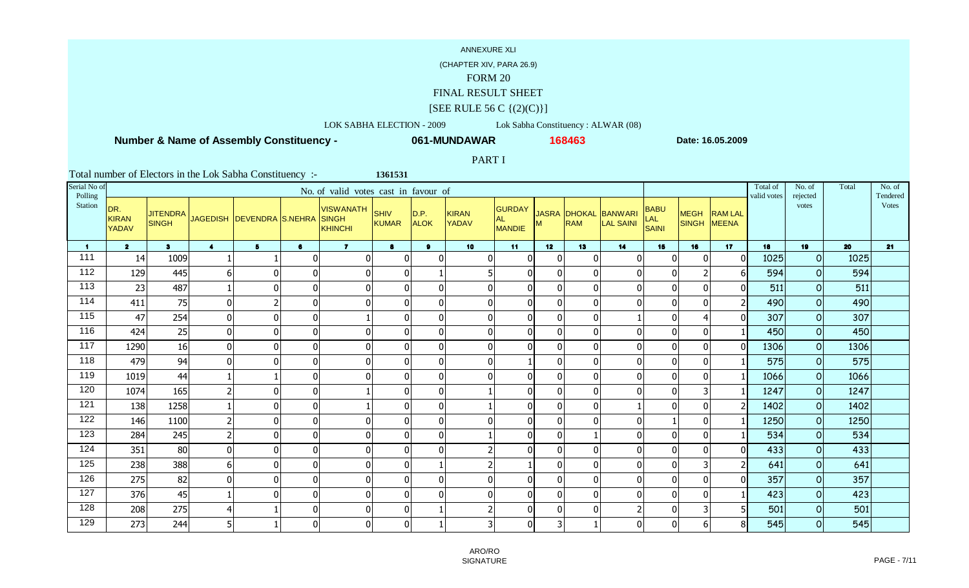### (CHAPTER XIV, PARA 26.9)

### FORM 20

## FINAL RESULT SHEET

### $[SEE$  RULE 56 C  $\{(2)(C)\}]$

### LOK SABHA ELECTION - 2009 Lok Sabha Constituency : ALWAR (08)

**1361531**

 **Number & Name of Assembly Constituency -**

**061-MUNDAWAR**

**<sup>168463</sup> Date: 16.05.2009**

### PART I

| Serial No of<br>Polling |                                     |                |                      |                                          |                | No. of valid votes cast in favour of |                             |                     |                              |                                      |                 |            |                                          |                                    |                            |                | Total of<br>valid votes | No. of<br>rejected | Total | No. of<br>Tendered |
|-------------------------|-------------------------------------|----------------|----------------------|------------------------------------------|----------------|--------------------------------------|-----------------------------|---------------------|------------------------------|--------------------------------------|-----------------|------------|------------------------------------------|------------------------------------|----------------------------|----------------|-------------------------|--------------------|-------|--------------------|
| Station                 | DR.<br><b>KIRAN</b><br><b>YADAV</b> | <b>SINGH</b>   |                      | JITENDRA JAGEDISH DEVENDRA S.NEHRA SINGH |                | <b>VISWANATH</b><br>KHINCHI          | <b>SHIV</b><br><b>KUMAR</b> | D.P.<br><b>ALOK</b> | <b>KIRAN</b><br><b>YADAV</b> | GURDAY<br><b>AL</b><br><b>MANDIE</b> |                 | <b>RAM</b> | JASRA DHOKAL BANWARI<br><b>LAL SAINI</b> | <b>BABU</b><br>LAL<br><b>SAINI</b> | <b>MEGH</b><br>SINGH MEENA | <b>RAM LAL</b> |                         | votes              |       | <b>Votes</b>       |
| $\blacksquare$          | $\overline{2}$                      | 3 <sup>1</sup> | $\blacktriangleleft$ | 5 <sup>5</sup>                           | 6              | $\overline{7}$                       | 8                           | 9                   | 10 <sub>1</sub>              | 11                                   | 12 <sup>7</sup> | 13         | 14                                       | 15                                 | 16                         | 17             | 18                      | 19                 | 20    | 21                 |
| 111                     | 14                                  | 1009           |                      |                                          | 0              | $\Omega$                             | $\mathbf{0}$                | $\mathbf{0}$        | $\overline{0}$               | $\overline{0}$                       | $\mathbf{0}$    |            | $\Omega$                                 | $\overline{0}$                     | $\Omega$                   |                | 1025                    | $\circ$            | 1025  |                    |
| 112                     | 129                                 | 445            | $6\vert$             | $\Omega$                                 | $\overline{0}$ | $\Omega$                             | $\pmb{0}$                   |                     | 5                            | $\overline{0}$                       | $\Omega$        |            | $\Omega$                                 | $\overline{0}$                     | $\overline{2}$             |                | 594                     | $\Omega$           | 594   |                    |
| 113                     | 23                                  | 487            |                      | $\Omega$                                 | $\overline{0}$ | 0                                    | $\pmb{0}$                   | $\overline{0}$      | $\overline{0}$               | $\mathbf 0$                          | $\mathbf{0}$    |            | $\Omega$                                 | $\overline{0}$                     | $\Omega$                   |                | 511                     | $\Omega$           | 511   |                    |
| 114                     | 411                                 | 75             | 0                    | 2                                        | $\overline{0}$ | 0                                    | $\mathbf 0$                 | $\mathbf{0}$        | 0                            | $\overline{0}$                       | $\mathbf{0}$    |            | $\Omega$                                 | $\overline{0}$                     | $\Omega$                   |                | 490                     | $\Omega$           | 490   |                    |
| 115                     | 47                                  | 254            | 0                    | $\mathbf{0}$                             | $\overline{0}$ |                                      | $\pmb{0}$                   | $\mathbf 0$         | $\overline{0}$               | $\overline{0}$                       | 0               |            |                                          | $\overline{0}$                     | 4                          | 0              | 307                     | $\circ$            | 307   |                    |
| 116                     | 424                                 | 25             | 0                    | $\mathbf 0$                              | $\overline{0}$ | $\Omega$                             | $\pmb{0}$                   | $\mathbf 0$         | $\overline{0}$               | $\mathbf 0$                          | $\mathbf 0$     |            | $\Omega$                                 | $\overline{0}$                     | $\Omega$                   |                | 450                     | $\mathbf 0$        | 450   |                    |
| $\frac{117}{117}$       | 1290                                | 16             | $\overline{0}$       | $\mathbf{0}$                             | 0              | $\Omega$                             | $\overline{0}$              | $\overline{0}$      | $\overline{0}$               | $\overline{0}$                       | $\mathbf 0$     |            | $\Omega$                                 | $\overline{0}$                     | $\mathbf 0$                |                | 1306                    | $\overline{O}$     | 1306  |                    |
| 118                     | 479                                 | 94             | $\Omega$             | $\Omega$                                 | $\overline{0}$ | $\Omega$                             | $\mathbf 0$                 | $\overline{0}$      | $\overline{0}$               |                                      | $\Omega$        |            | $\Omega$                                 | $\overline{0}$                     | $\Omega$                   |                | 575                     | $\mathbf 0$        | 575   |                    |
| 119                     | 1019                                | 44             |                      |                                          | $\overline{0}$ | $\Omega$                             | $\pmb{0}$                   | $\overline{0}$      | $\overline{0}$               | $\overline{0}$                       | $\Omega$        |            | $\Omega$                                 | $\overline{0}$                     | $\Omega$                   |                | 1066                    | $\mathbf 0$        | 1066  |                    |
| 120                     | 1074                                | 165            | $\overline{c}$       | $\mathbf 0$                              | $\overline{0}$ |                                      | $\mathbf 0$                 | $\pmb{0}$           |                              | $\overline{0}$                       | $\mathbf{0}$    |            | $\Omega$                                 | $\overline{0}$                     | 3                          |                | 1247                    | $\circ$            | 1247  |                    |
| 121                     | 138                                 | 1258           |                      | $\boldsymbol{0}$                         | $\overline{0}$ |                                      | $\pmb{0}$                   | $\overline{0}$      |                              | $\overline{0}$                       | $\mathbf 0$     |            |                                          | $\overline{0}$                     | $\Omega$                   |                | 1402                    | $\circ$            | 1402  |                    |
| 122                     | 146                                 | 1100           | $\overline{2}$       | 0                                        | $\overline{0}$ | 0                                    | $\pmb{0}$                   | $\overline{0}$      | $\overline{0}$               | $\mathbf 0$                          | 0               |            | $\Omega$                                 |                                    | $\Omega$                   |                | 1250                    | $\circ$            | 1250  |                    |
| 123                     | 284                                 | 245            | $\overline{2}$       | $\Omega$                                 | $\overline{0}$ | $\Omega$                             | $\mathbf 0$                 | $\mathbf 0$         |                              | $\overline{0}$                       | $\mathbf 0$     |            | $\Omega$                                 | $\overline{0}$                     | $\Omega$                   |                | 534                     | $\mathbf 0$        | 534   |                    |
| 124                     | 351                                 | 80             | 0                    | 0                                        | $\overline{0}$ | $\Omega$                             | $\pmb{0}$                   | $\mathbf 0$         | 2                            | $\mathbf 0$                          | $\mathbf 0$     |            | $\mathbf 0$                              | 0                                  | $\mathbf 0$                | 0              | 433                     | $\mathbf 0$        | 433   |                    |
| 125                     | 238                                 | 388            | $6\vert$             | $\mathbf 0$                              | $\overline{0}$ | $\Omega$                             | $\pmb{0}$                   |                     | 2                            |                                      | $\mathbf{0}$    |            | $\Omega$                                 | $\overline{0}$                     | 3                          |                | 641                     | $\mathbf 0$        | 641   |                    |
| 126                     | 275                                 | 82             | 0                    | $\mathbf{0}$                             | 0              | $\Omega$                             | $\overline{0}$              | $\overline{0}$      | $\overline{0}$               | $\overline{0}$                       | $\mathbf 0$     |            | $\Omega$                                 | $\overline{0}$                     | $\Omega$                   | $\Omega$       | 357                     | $\circ$            | 357   |                    |
| 127                     | 376                                 | 45             |                      | $\Omega$                                 | $\overline{0}$ | $\Omega$                             | $\pmb{0}$                   | $\overline{0}$      | 0                            | $\overline{0}$                       | $\mathbf{0}$    |            | $\Omega$                                 | $\overline{0}$                     | $\Omega$                   |                | 423                     | $\circ$            | 423   |                    |
| 128                     | 208                                 | 275            | 4                    |                                          | $\overline{0}$ | $\Omega$                             | $\pmb{0}$                   |                     |                              | $\Omega$                             | $\Omega$        |            | $\overline{2}$                           | $\Omega$                           | 3                          |                | 501                     | $\mathbf 0$        | 501   |                    |
| 129                     | 273                                 | 244            | 5 <sup>1</sup>       | -1                                       | 0              | $\Omega$                             | $\mathbf 0$                 |                     | 3                            | $\overline{0}$                       | 3               |            | $\Omega$                                 | $\overline{0}$                     | 6                          | 8              | 545                     | $\circ$            | 545   |                    |

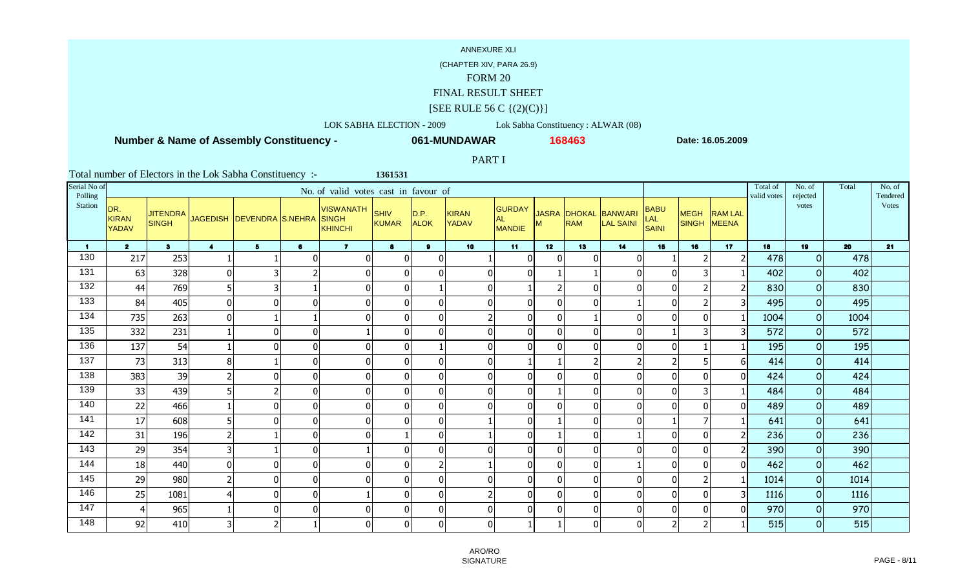### (CHAPTER XIV, PARA 26.9)

### FORM 20

## FINAL RESULT SHEET

### $[SEE$  RULE 56 C  $\{(2)(C)\}]$

### LOK SABHA ELECTION - 2009 Lok Sabha Constituency : ALWAR (08)

**1361531**

 **Number & Name of Assembly Constituency -**

**061-MUNDAWAR**

**<sup>168463</sup> Date: 16.05.2009**

## PART I

| Serial No of<br>Polling |                                     |                                 |                         |                           |                | No. of valid votes cast in favour of        |                             |                     |                              |                               |                 |                                   |                                    |                                    |                            |                | Total of<br>valid votes | No. of<br>rejected | Total | No. of<br>Tendered |
|-------------------------|-------------------------------------|---------------------------------|-------------------------|---------------------------|----------------|---------------------------------------------|-----------------------------|---------------------|------------------------------|-------------------------------|-----------------|-----------------------------------|------------------------------------|------------------------------------|----------------------------|----------------|-------------------------|--------------------|-------|--------------------|
| Station                 | DR.<br><b>KIRAN</b><br><b>YADAV</b> | <b>JITENDRA</b><br><b>SINGH</b> |                         | JAGEDISH DEVENDRA S.NEHRA |                | <b>VISWANATH</b><br><b>SINGH</b><br>KHINCHI | <b>SHIV</b><br><b>KUMAR</b> | D.P.<br><b>ALOK</b> | <b>KIRAN</b><br><b>YADAV</b> | GURDAY<br><b>AL</b><br>MANDIE |                 | <b>JASRA DHOKAL</b><br><b>RAM</b> | <b>BANWARI</b><br><b>LAL SAINI</b> | <b>BABU</b><br>LAL<br><b>SAINI</b> | <b>MEGH</b><br>SINGH MEENA | <b>RAM LAL</b> |                         | votes              |       | <b>Votes</b>       |
| $\blacktriangleleft$    | $\overline{2}$                      | 3 <sup>1</sup>                  | $\blacktriangleleft$    | 5 <sup>5</sup>            | 6              | $\overline{7}$                              | $\bullet$                   | $\mathbf{9}$        | 10 <sub>1</sub>              | 11                            | 12 <sup>7</sup> | 13                                | 14                                 | 15                                 | 16                         | 17             | 18                      | 19                 | 20    | 21                 |
| 130                     | 217                                 | 253                             |                         |                           | 0              | 0                                           | $\mathbf{0}$                | $\pmb{0}$           |                              | $\overline{0}$                | $\mathbf{0}$    |                                   | $\Omega$                           |                                    | $\overline{2}$             |                | 478                     | $\circ$            | 478   |                    |
| 131                     | 63                                  | 328                             | 0                       | 3                         | $\overline{2}$ | $\Omega$                                    | $\mathbf 0$                 | $\mathbf 0$         | $\overline{0}$               | $\overline{0}$                |                 |                                   | $\Omega$                           | $\overline{0}$                     | 3                          |                | 402                     | $\circ$            | 402   |                    |
| 132                     | 44                                  | 769                             | $5\vert$                | 3                         |                |                                             | $\pmb{0}$                   |                     | $\overline{0}$               |                               |                 |                                   |                                    | $\overline{0}$                     | $\overline{2}$             |                | 830                     | $\circ$            | 830   |                    |
| 133                     | 84                                  | 405                             | $\overline{0}$          | $\Omega$                  | 0              | $\Omega$                                    | $\mathbf 0$                 | $\overline{0}$      | $\Omega$                     | $\overline{0}$                | $\Omega$        |                                   |                                    | $\overline{0}$                     |                            |                | 495                     | $\Omega$           | 495   |                    |
| 134                     | 735                                 | 263                             | 0                       | 1                         |                | $\Omega$                                    | $\mathbf 0$                 | $\overline{0}$      | 2                            | $\overline{0}$                | $\mathbf{0}$    |                                   | $\Omega$                           | $\overline{0}$                     | $\mathbf{0}$               |                | 1004                    | $\circ$            | 1004  |                    |
| 135                     | 332                                 | 231                             |                         | $\mathbf 0$               | $\overline{0}$ |                                             | $\overline{0}$              | $\mathbf 0$         | $\overline{0}$               | $\mathbf 0$                   | $\mathbf 0$     |                                   | $\Omega$                           |                                    | 3                          |                | 572                     | $\circ$            | 572   |                    |
| 136                     | 137                                 | 54                              |                         | $\mathbf 0$               | 0              | $\mathbf 0$                                 | $\overline{0}$              |                     | $\overline{0}$               | $\overline{0}$                | $\mathbf 0$     |                                   | $\mathbf 0$                        | $\overline{0}$                     |                            |                | 195                     | $\circ$            | 195   |                    |
| 137                     | 73                                  | 313                             | 8 <sup>1</sup>          | $\mathbf{1}$              | $\overline{0}$ | $\mathbf 0$                                 | $\overline{0}$              | $\overline{0}$      | $\overline{0}$               |                               |                 |                                   | $\overline{2}$                     | $\overline{2}$                     | 5                          | 61             | 414                     | $\mathbf 0$        | 414   |                    |
| 138                     | 383                                 | 39                              | $\overline{2}$          | $\Omega$                  | 0              | $\Omega$                                    | $\overline{0}$              | $\overline{0}$      | $\overline{0}$               | $\overline{0}$                | $\mathbf 0$     |                                   | $\Omega$                           | $\overline{0}$                     | $\mathbf{0}$               | $\Omega$       | 424                     | $\circ$            | 424   |                    |
| 139                     | 33                                  | 439                             | $5\vert$                | 2                         | $\overline{0}$ | $\Omega$                                    | $\pmb{0}$                   | $\pmb{0}$           | 0                            | $\mathbf 0$                   |                 |                                   | $\Omega$                           | $\overline{0}$                     | 3                          |                | 484                     | $\mathbf 0$        | 484   |                    |
| 140                     | 22                                  | 466                             |                         | $\Omega$                  | $\overline{0}$ | $\Omega$                                    | $\pmb{0}$                   | $\overline{0}$      | $\overline{0}$               | $\mathbf 0$                   | $\mathbf 0$     |                                   | $\Omega$                           | $\overline{0}$                     | $\Omega$                   |                | 489                     | $\mathbf 0$        | 489   |                    |
| 141                     | 17                                  | 608                             | $5\vert$                | $\mathbf{0}$              | $\overline{0}$ | 0                                           | $\mathbf 0$                 | $\overline{0}$      |                              | $\mathbf 0$                   |                 |                                   |                                    |                                    |                            |                | 641                     | $\circ$            | 641   |                    |
| 142                     | 31                                  | 196                             | $\overline{2}$          |                           | $\overline{0}$ | 0                                           |                             | $\mathbf 0$         |                              | $\overline{0}$                |                 |                                   |                                    | $\overline{0}$                     | $\Omega$                   |                | 236                     | $\Omega$           | 236   |                    |
| 143                     | 29                                  | 354                             | $\overline{\mathbf{3}}$ | 1                         | $\overline{0}$ |                                             | $\pmb{0}$                   | $\mathbf 0$         | $\overline{0}$               | $\mathbf 0$                   | 0               |                                   | $\Omega$                           | $\overline{0}$                     | $\Omega$                   |                | 390                     | $\circ$            | 390   |                    |
| 144                     | 18                                  | 440                             | $\overline{0}$          | 0                         | $\overline{0}$ | $\Omega$                                    | $\pmb{0}$                   | $\overline{2}$      |                              | $\mathbf 0$                   | $\mathbf 0$     |                                   |                                    | $\overline{0}$                     | 0                          | U              | 462                     | $\mathbf 0$        | 462   |                    |
| 145                     | 29                                  | 980                             | $\overline{2}$          | $\mathbf 0$               | 0              | $\Omega$                                    | $\overline{0}$              | $\overline{0}$      | $\overline{0}$               | $\mathbf 0$                   | $\mathbf 0$     |                                   | $\Omega$                           | $\overline{0}$                     | $\overline{2}$             |                | 1014                    | $\overline{O}$     | 1014  |                    |
| 146                     | 25                                  | 1081                            | 4                       | $\mathbf{0}$              | $\overline{0}$ |                                             | $\overline{0}$              | $\overline{0}$      | 2                            | $\overline{0}$                | $\mathbf{0}$    |                                   | $\Omega$                           | $\overline{0}$                     | $\Omega$                   |                | 1116                    | $\circ$            | 1116  |                    |
| 147                     | 4                                   | 965                             |                         | $\Omega$                  | $\overline{0}$ | $\Omega$                                    | $\overline{0}$              | $\overline{0}$      | 0                            | $\Omega$                      | $\Omega$        |                                   | $\Omega$                           | $\Omega$                           | $\Omega$                   |                | 970                     | $\mathbf 0$        | 970   |                    |
| 148                     | 92                                  | 410                             | $\overline{3}$          | $\overline{2}$            |                | $\Omega$                                    | $\mathbf 0$                 | $\overline{0}$      | $\overline{0}$               |                               |                 |                                   | $\Omega$                           | $\overline{2}$                     | $\overline{\phantom{a}}$   |                | 515                     | $\circ$            | 515   |                    |

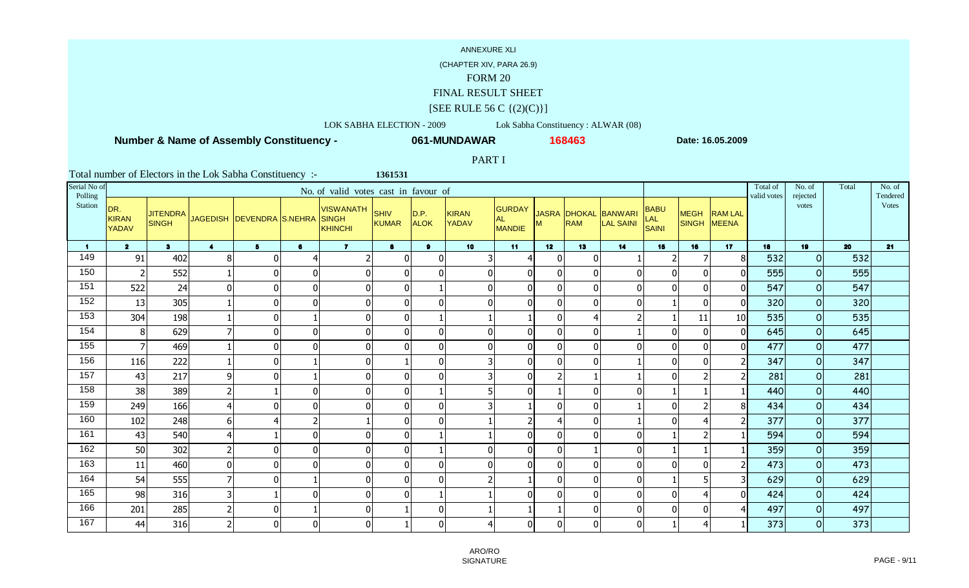### (CHAPTER XIV, PARA 26.9)

### FORM 20

## FINAL RESULT SHEET

### $[SEE$  RULE 56 C  $\{(2)(C)\}]$

### LOK SABHA ELECTION - 2009 Lok Sabha Constituency : ALWAR (08)

**1361531**

 **Number & Name of Assembly Constituency -**

**061-MUNDAWAR**

**<sup>168463</sup> Date: 16.05.2009**

### PART I

| Serial No of<br>Polling |                              |                                 |                  |                           |                | No. of valid votes cast in favour of        |                             |                     |                       |                                      |                |                            |                                    |                                    |                            |                | Total of<br>valid votes | No. of<br>rejected | Total | No. of<br>Tendered |
|-------------------------|------------------------------|---------------------------------|------------------|---------------------------|----------------|---------------------------------------------|-----------------------------|---------------------|-----------------------|--------------------------------------|----------------|----------------------------|------------------------------------|------------------------------------|----------------------------|----------------|-------------------------|--------------------|-------|--------------------|
| Station                 | DR.<br><b>KIRAN</b><br>YADAV | <b>JITENDRA</b><br><b>SINGH</b> |                  | JAGEDISH DEVENDRA S.NEHRA |                | <b>VISWANATH</b><br><b>SINGH</b><br>KHINCHI | <b>SHIV</b><br><b>KUMAR</b> | D.P.<br><b>ALOK</b> | <b>KIRAN</b><br>YADAV | GURDAY<br><b>AL</b><br><b>MANDIE</b> | м              | <b>JASRA DHOKAL</b><br>RAM | <b>BANWARI</b><br><b>LAL SAINI</b> | <b>BABU</b><br>LAL<br><b>SAINI</b> | <b>MEGH</b><br>SINGH MEENA | <b>RAM LAL</b> |                         | votes              |       | <b>Votes</b>       |
| $\blacktriangleleft$    | $\overline{2}$               | 3 <sup>1</sup>                  | $\blacktriangle$ | 5 <sup>1</sup>            | 6              | $\overline{7}$                              | 8                           | $\mathbf{a}$        | 10 <sup>1</sup>       | 11                                   | 12             | 13                         | 14                                 | 15                                 | 16                         | 17             | 18                      | 19                 | 20    | 21                 |
| 149                     | 91                           | 402                             | 8                | n                         | $\overline{4}$ |                                             | $\mathbf{0}$                | $\boldsymbol{0}$    | 3                     | 4                                    | $\mathbf{0}$   |                            |                                    |                                    | 7                          | 8              | 532                     | $\circ$            | 532   |                    |
| 150                     | $\overline{2}$               | 552                             |                  | $\Omega$                  | $\mathbf 0$    | $\Omega$                                    | $\mathbf 0$                 | $\Omega$            | $\overline{0}$        | $\mathbf 0$                          | $\Omega$       | $\Omega$                   | $\Omega$                           | $\Omega$                           | $\Omega$                   | <sup>0</sup>   | 555                     | $\circ$            | 555   |                    |
| 151                     | 522                          | 24                              | $\mathbf 0$      | $\Omega$                  | 0              | $\Omega$                                    | $\mathbf 0$                 |                     | $\mathbf 0$           | $\mathbf 0$                          | $\mathbf 0$    |                            |                                    |                                    | $\Omega$                   | $\overline{0}$ | 547                     | $\circ$            | 547   |                    |
| 152                     | 13                           | 305                             |                  | $\Omega$                  | $\Omega$       | $\Omega$                                    | $\mathbf 0$                 | $\Omega$            | $\overline{0}$        | $\overline{0}$                       | $\Omega$       |                            | $\Omega$                           |                                    | $\Omega$                   | $\Omega$       | 320                     | $\Omega$           | 320   |                    |
| 153                     | 304                          | 198                             |                  | $\mathbf{0}$              |                | $\Omega$                                    | $\mathbf 0$                 |                     |                       |                                      | $\mathbf 0$    |                            | $\overline{\phantom{a}}$           |                                    | 11                         | 10             | 535                     | $\circ$            | 535   |                    |
| 154                     | 8                            | 629                             | $\overline{7}$   | $\mathbf{0}$              | $\mathbf{0}$   | $\Omega$                                    | $\mathbf 0$                 | $\mathbf 0$         | $\overline{0}$        | $\mathbf 0$                          | $\mathbf 0$    |                            |                                    | $\mathbf{0}$                       | $\mathbf{0}$               | $\Omega$       | 645                     | $\overline{O}$     | 645   |                    |
| 155                     | $\overline{7}$               | 469                             |                  | $\mathbf 0$               | 0              | $\overline{0}$                              | $\overline{0}$              | $\mathbf 0$         | $\overline{0}$        | $\overline{0}$                       | $\mathbf 0$    |                            | $\Omega$                           | 0                                  | $\mathbf 0$                | $\overline{0}$ | 477                     | $\circ$            | 477   |                    |
| 156                     | <b>116</b>                   | 222                             |                  | $\mathbf 0$               |                | $\Omega$                                    |                             | $\mathbf 0$         | $\overline{3}$        | $\overline{0}$                       | $\mathbf 0$    | U                          |                                    | $\Omega$                           | $\mathbf{0}$               |                | 347                     | $\circ$            | 347   |                    |
| 157                     | 43                           | 217                             | 9                | $\Omega$                  |                | $\Omega$                                    | $\overline{0}$              | $\overline{0}$      | 3                     | $\overline{0}$                       | $\overline{2}$ |                            |                                    | $\Omega$                           | $\overline{2}$             |                | 281                     | $\mathbf 0$        | 281   |                    |
| 158                     | 38                           | 389                             | $\mathbf{2}$     |                           | 0              | $\mathbf 0$                                 | $\pmb{0}$                   |                     | 5                     | $\pmb{0}$                            |                | n                          | ſ                                  |                                    |                            |                | 440                     | $\circ$            | 440   |                    |
| 159                     | 249                          | 166                             | $\overline{4}$   | $\Omega$                  | 0              | $\Omega$                                    | $\mathbf 0$                 | $\overline{0}$      | 3                     |                                      | $\Omega$       |                            |                                    |                                    | $\overline{2}$             | 8              | 434                     | $\mathbf 0$        | 434   |                    |
| 160                     | 102                          | 248                             | 6                |                           | $\overline{2}$ |                                             | $\mathbf 0$                 | $\Omega$            |                       | $\overline{2}$                       |                |                            |                                    |                                    | 4                          |                | 377                     | $\circ$            | 377   |                    |
| 161                     | 43                           | 540                             | $\overline{4}$   |                           | $\Omega$       | $\Omega$                                    | $\mathbf 0$                 |                     |                       | $\mathbf 0$                          | $\Omega$       |                            |                                    |                                    |                            |                | 594                     | $\Omega$           | 594   |                    |
| 162                     | 50                           | 302                             | $\overline{a}$   | $\mathbf{0}$              | $\mathbf{0}$   | $\Omega$                                    | $\pmb{0}$                   |                     | $\mathbf 0$           | $\mathbf 0$                          | $\mathbf{0}$   |                            | $\Omega$                           |                                    |                            |                | 359                     | $\circ$            | 359   |                    |
| 163                     | 11                           | 460                             | $\mathbf 0$      | $\mathbf{0}$              | 0              | $\Omega$                                    | $\mathbf 0$                 | $\mathbf 0$         | $\mathbf 0$           | $\mathbf 0$                          | $\mathbf 0$    | ∩                          | $\Omega$                           | $\Omega$                           | $\Omega$                   |                | 473                     | $\overline{O}$     | 473   |                    |
| 164                     | 54                           | 555                             | $\overline{7}$   | $\Omega$                  |                | $\Omega$                                    | $\overline{0}$              | $\Omega$            | $\overline{2}$        |                                      | $\Omega$       |                            | $\Omega$                           |                                    | 5                          |                | 629                     | $\overline{O}$     | 629   |                    |
| 165                     | 98                           | 316                             | 3                |                           | $\mathbf{0}$   | $\Omega$                                    | $\overline{0}$              |                     |                       | $\overline{0}$                       | $\Omega$       |                            | $\Omega$                           | 0                                  | $\overline{4}$             | ΩI             | 424                     | $\circ$            | 424   |                    |
| 166                     | 201                          | 285                             | $\overline{2}$   | $\Omega$                  |                | $\Omega$                                    |                             | $\overline{0}$      |                       |                                      |                |                            | $\Omega$                           | $\Omega$                           | $\Omega$                   |                | 497                     | $\mathbf 0$        | 497   |                    |
| 167                     | 44                           | 316                             | $\overline{2}$   | $\Omega$                  | $\Omega$       | $\Omega$                                    |                             | $\Omega$            | 4                     | $\mathbf 0$                          | $\Omega$       | n                          | $\Omega$                           |                                    | $\boldsymbol{4}$           |                | 373                     | $\circ$            | 373   |                    |

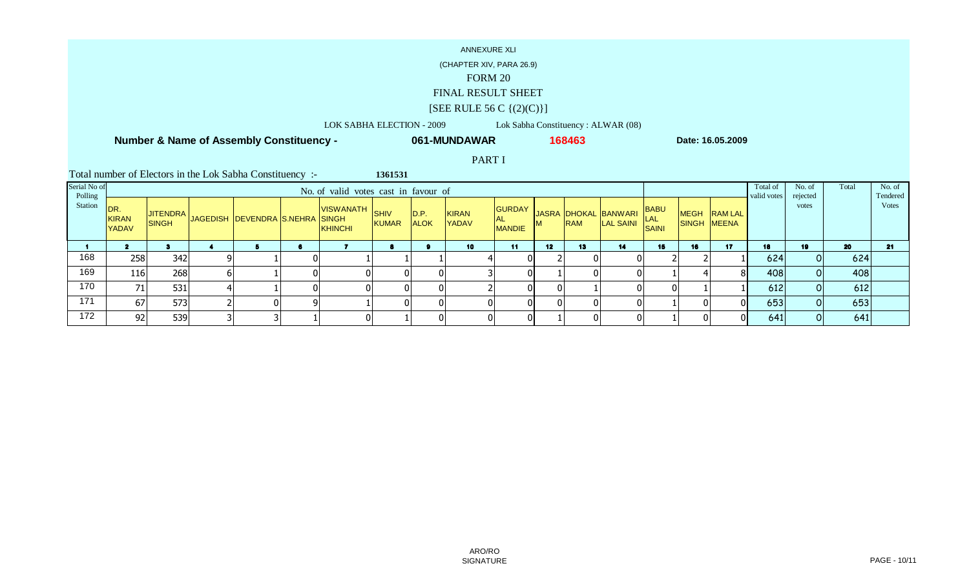(CHAPTER XIV, PARA 26.9)

## FORM 20

## FINAL RESULT SHEET

## $[SEE$  RULE 56 C  $\{(2)(C)\}]$

LOK SABHA ELECTION - 2009 Lok Sabha Constituency : ALWAR (08)

**061-MUNDAWAR**

**1361531**

 **Number & Name of Assembly Constituency -**

**<sup>168463</sup> Date: 16.05.2009**

PART I

| Serial No of<br>Polling |                                      |              |   |                                          | No of valid votes cast in favour of |       |                     |                              |                                      |                 |            |                                          |                             |    |                             | Total of<br>valid votes | No. of<br>rejected | Total | No. of<br>Tendered |
|-------------------------|--------------------------------------|--------------|---|------------------------------------------|-------------------------------------|-------|---------------------|------------------------------|--------------------------------------|-----------------|------------|------------------------------------------|-----------------------------|----|-----------------------------|-------------------------|--------------------|-------|--------------------|
| Station                 | IDR.<br><b>KIRAN</b><br><b>YADAV</b> | <b>SINGH</b> |   | AUTENDRA JAGEDISH DEVENDRA S.NEHRA SINGH | VISWANATH SHIV<br>KHINCHI           | KUMAR | D.P.<br><b>ALOK</b> | <b>KIRAN</b><br><b>YADAV</b> | GURDAY<br><b>AL</b><br><b>MANDIE</b> | <b>M</b>        | <b>RAM</b> | JASRA DHOKAL BANWARI<br><b>LAL SAINI</b> | BABU<br>LAL<br><b>SAINI</b> |    | MEGH RAM LAL<br>SINGH MEENA |                         | votes              |       | <b>Votes</b>       |
|                         |                                      |              |   |                                          |                                     |       |                     | 10                           | 11                                   | 12 <sup>2</sup> | 13         | 14                                       | 15                          | 16 | 17                          | 18                      | 19                 | 20    | 21                 |
| 168                     | 258                                  | 342          | q |                                          |                                     |       |                     |                              |                                      |                 |            |                                          |                             |    |                             | 624                     |                    | 624   |                    |
| 169                     | 116                                  | 268          | b |                                          |                                     |       |                     |                              |                                      |                 |            |                                          |                             |    | 8 <sup>1</sup>              | 408                     |                    | 408   |                    |
| 170                     | 71                                   | 531          |   |                                          |                                     |       | 01                  |                              |                                      | -01             |            |                                          |                             |    |                             | 612                     |                    | 612   |                    |
| 171                     | 67                                   | 573          |   | $\Omega$                                 |                                     |       |                     |                              |                                      | ΩI              |            |                                          |                             |    | $\Omega$                    | 653                     |                    | 653   |                    |
| 172                     | 92                                   | 539          |   |                                          |                                     |       | $\Omega$            |                              |                                      |                 |            |                                          |                             |    | $\Omega$                    | 641                     |                    | 641   |                    |